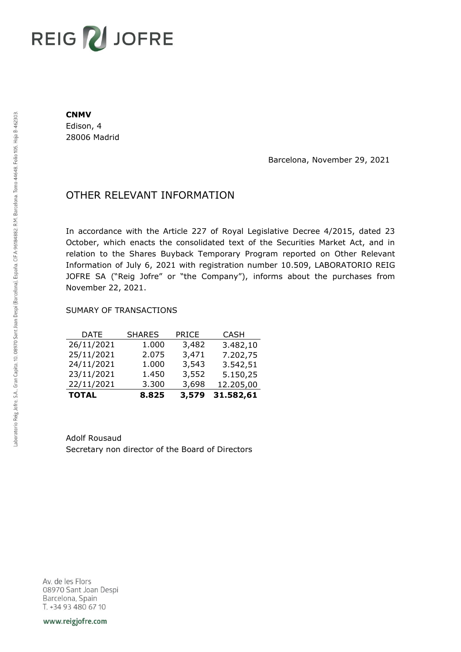# REIG V JOFRE

#### **CNMV**

Edison, 4 28006 Madrid

Barcelona, November 29, 2021

## OTHER RELEVANT INFORMATION

In accordance with the Article 227 of Royal Legislative Decree 4/2015, dated 23 October, which enacts the consolidated text of the Securities Market Act, and in relation to the Shares Buyback Temporary Program reported on Other Relevant Information of July 6, 2021 with registration number 10.509, LABORATORIO REIG JOFRE SA ("Reig Jofre" or "the Company"), informs about the purchases from November 22, 2021.

### SUMARY OF TRANSACTIONS

| <b>TOTAL</b> | 8.825         | 3,579        | 31.582,61   |
|--------------|---------------|--------------|-------------|
| 22/11/2021   | 3.300         | 3,698        | 12.205,00   |
| 23/11/2021   | 1.450         | 3,552        | 5.150,25    |
| 24/11/2021   | 1.000         | 3,543        | 3.542,51    |
| 25/11/2021   | 2.075         | 3,471        | 7.202,75    |
| 26/11/2021   | 1.000         | 3,482        | 3.482,10    |
| DATE         | <b>SHARES</b> | <b>PRICE</b> | <b>CASH</b> |

Adolf Rousaud Secretary non director of the Board of Directors

Av. de les Flors 08970 Sant Joan Despi Barcelona, Spain T. +34 93 480 67 10

www.reigjofre.com